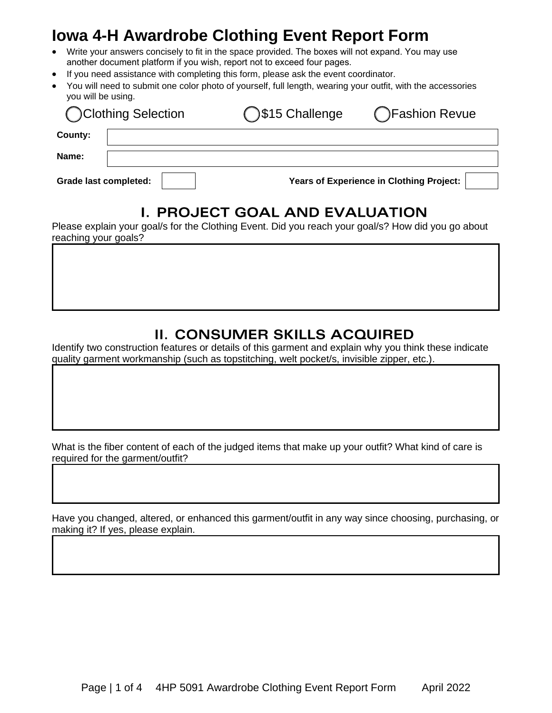# **Iowa 4-H Awardrobe Clothing Event Report Form**

- Write your answers concisely to fit in the space provided. The boxes will not expand. You may use another document platform if you wish, report not to exceed four pages.
- If you need assistance with completing this form, please ask the event coordinator.
- You will need to submit one color photo of yourself, full length, wearing your outfit, with the accessories you will be using.

| Clothing Selection           | \$15 Challenge | <b>T</b> Fashion Revue                   |  |
|------------------------------|----------------|------------------------------------------|--|
| County:                      |                |                                          |  |
| Name:                        |                |                                          |  |
| <b>Grade last completed:</b> |                | Years of Experience in Clothing Project: |  |

#### **I. PROJECT GOAL AND EVALUATION**

Please explain your goal/s for the Clothing Event. Did you reach your goal/s? How did you go about reaching your goals?

#### **II. CONSUMER SKILLS ACQUIRED**

Identify two construction features or details of this garment and explain why you think these indicate quality garment workmanship (such as topstitching, welt pocket/s, invisible zipper, etc.).

What is the fiber content of each of the judged items that make up your outfit? What kind of care is required for the garment/outfit?

Have you changed, altered, or enhanced this garment/outfit in any way since choosing, purchasing, or making it? If yes, please explain.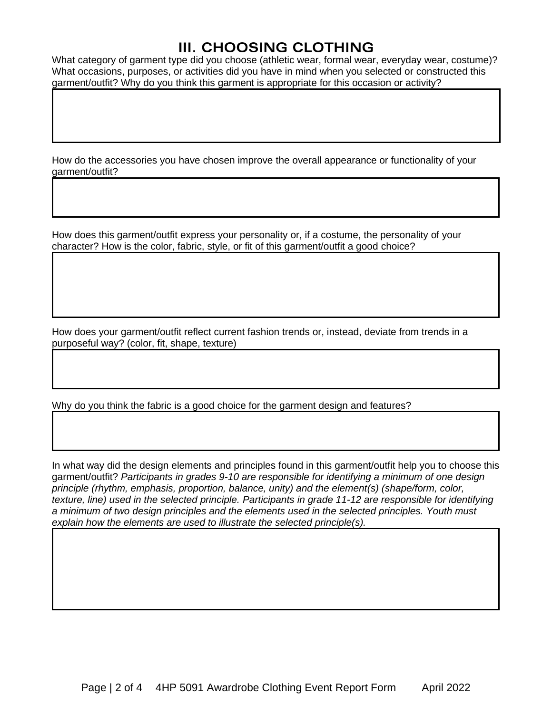## **III. CHOOSING CLOTHING**

What category of garment type did you choose (athletic wear, formal wear, everyday wear, costume)? What occasions, purposes, or activities did you have in mind when you selected or constructed this garment/outfit? Why do you think this garment is appropriate for this occasion or activity?

How do the accessories you have chosen improve the overall appearance or functionality of your garment/outfit?

How does this garment/outfit express your personality or, if a costume, the personality of your character? How is the color, fabric, style, or fit of this garment/outfit a good choice?

How does your garment/outfit reflect current fashion trends or, instead, deviate from trends in a purposeful way? (color, fit, shape, texture)

Why do you think the fabric is a good choice for the garment design and features?

In what way did the design elements and principles found in this garment/outfit help you to choose this garment/outfit? *Participants in grades 9-10 are responsible for identifying a minimum of one design principle (rhythm, emphasis, proportion, balance, unity) and the element(s) (shape/form, color, texture, line) used in the selected principle. Participants in grade 11-12 are responsible for identifying a minimum of two design principles and the elements used in the selected principles. Youth must explain how the elements are used to illustrate the selected principle(s).*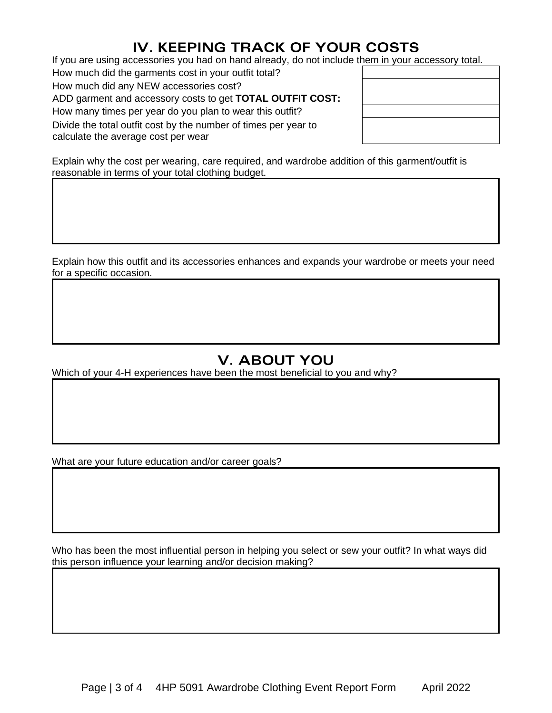## **IV. KEEPING TRACK OF YOUR COSTS**

If you are using accessories you had on hand already, do not include them in your accessory total.

How much did the garments cost in your outfit total? How much did any NEW accessories cost?

ADD garment and accessory costs to get **TOTAL OUTFIT COST:**

How many times per year do you plan to wear this outfit?

Divide the total outfit cost by the number of times per year to calculate the average cost per wear

Explain why the cost per wearing, care required, and wardrobe addition of this garment/outfit is reasonable in terms of your total clothing budget.

Explain how this outfit and its accessories enhances and expands your wardrobe or meets your need for a specific occasion.

## **V. ABOUT YOU**

Which of your 4-H experiences have been the most beneficial to you and why?

What are your future education and/or career goals?

Who has been the most influential person in helping you select or sew your outfit? In what ways did this person influence your learning and/or decision making?